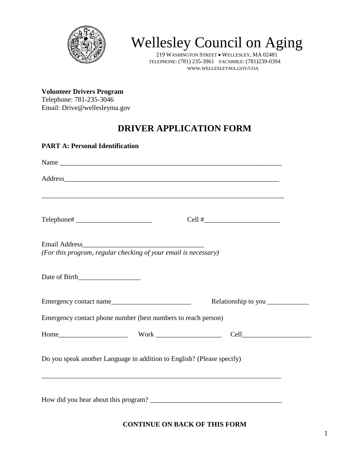

# Wellesley Council on Aging

219 WASHINGTON STREET • WELLESLEY, MA 02481 TELEPHONE: (781) 235-3961 FACSIMILE: (781)239-0394 WWW.WELLESLEYMA.GOV/COA

**Volunteer Drivers Program**  Telephone: 781-235-3046 Email: Drive@wellesleyma.gov

# **DRIVER APPLICATION FORM**

| <b>PART A: Personal Identification</b>                                                                                                                      |                                     |
|-------------------------------------------------------------------------------------------------------------------------------------------------------------|-------------------------------------|
|                                                                                                                                                             |                                     |
|                                                                                                                                                             |                                     |
| ,我们也不会有什么。""我们的人,我们也不会有什么?""我们的人,我们也不会有什么?""我们的人,我们也不会有什么?""我们的人,我们也不会有什么?""我们的人                                                                            |                                     |
|                                                                                                                                                             |                                     |
| (For this program, regular checking of your email is necessary)                                                                                             |                                     |
| Date of Birth                                                                                                                                               |                                     |
| Emergency contact name                                                                                                                                      | Relationship to you _______________ |
| Emergency contact phone number (best numbers to reach person)                                                                                               |                                     |
|                                                                                                                                                             |                                     |
| Do you speak another Language in addition to English? (Please specify)<br>,我们也不能在这里的时候,我们也不能在这里的时候,我们也不能会在这里的时候,我们也不能会在这里的时候,我们也不能会在这里的时候,我们也不能会在这里的时候,我们也不 |                                     |
|                                                                                                                                                             |                                     |

**CONTINUE ON BACK OF THIS FORM**